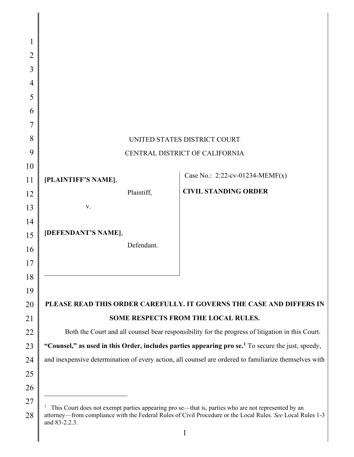| 1              |                                                                                                                                                                                                                                   |  |  |
|----------------|-----------------------------------------------------------------------------------------------------------------------------------------------------------------------------------------------------------------------------------|--|--|
| $\overline{2}$ |                                                                                                                                                                                                                                   |  |  |
| 3              |                                                                                                                                                                                                                                   |  |  |
| 4              |                                                                                                                                                                                                                                   |  |  |
| 5              |                                                                                                                                                                                                                                   |  |  |
| 6              |                                                                                                                                                                                                                                   |  |  |
| 7              |                                                                                                                                                                                                                                   |  |  |
| 8              | UNITED STATES DISTRICT COURT                                                                                                                                                                                                      |  |  |
| 9              | CENTRAL DISTRICT OF CALIFORNIA                                                                                                                                                                                                    |  |  |
| 10             |                                                                                                                                                                                                                                   |  |  |
| 11             | Case No.: $2:22$ -cv-01234-MEMF(x)<br>[PLAINTIFF'S NAME],                                                                                                                                                                         |  |  |
| 12             | <b>CIVIL STANDING ORDER</b><br>Plaintiff,                                                                                                                                                                                         |  |  |
| 13             | V.                                                                                                                                                                                                                                |  |  |
| 14             |                                                                                                                                                                                                                                   |  |  |
| 15             | [DEFENDANT'S NAME],                                                                                                                                                                                                               |  |  |
| 16             | Defendant.                                                                                                                                                                                                                        |  |  |
| 17             |                                                                                                                                                                                                                                   |  |  |
| 18             |                                                                                                                                                                                                                                   |  |  |
| 19             |                                                                                                                                                                                                                                   |  |  |
| 20             | PLEASE READ THIS ORDER CAREFULLY. IT GOVERNS THE CASE AND DIFFERS IN                                                                                                                                                              |  |  |
| 21             | SOME RESPECTS FROM THE LOCAL RULES.                                                                                                                                                                                               |  |  |
| 22             | Both the Court and all counsel bear responsibility for the progress of litigation in this Court.                                                                                                                                  |  |  |
| 23             | "Counsel," as used in this Order, includes parties appearing pro se. <sup>1</sup> To secure the just, speedy,                                                                                                                     |  |  |
| 24             | and inexpensive determination of every action, all counsel are ordered to familiarize themselves with                                                                                                                             |  |  |
| 25             |                                                                                                                                                                                                                                   |  |  |
| 26             |                                                                                                                                                                                                                                   |  |  |
| 27<br>28       | This Court does not exempt parties appearing pro se—that is, parties who are not represented by an<br>attorney—from compliance with the Federal Rules of Civil Procedure or the Local Rules. See Local Rules 1-3<br>and 83-2.2.3. |  |  |

 $\overline{\phantom{a}}$ 

 $\parallel$ 

<span id="page-0-0"></span>attorney—from compliance with the Federal Rules of Civil Procedure or the Local Rules. *See* Local Rules 1-3 and 83-2.2.3.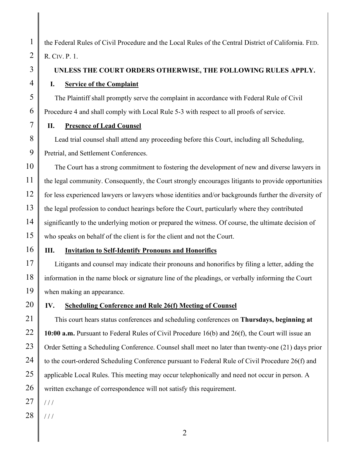the Federal Rules of Civil Procedure and the Local Rules of the Central District of California. FED. R. CIV. P. 1.

# **UNLESS THE COURT ORDERS OTHERWISE, THE FOLLOWING RULES APPLY.**

## **I. Service of the Complaint**

The Plaintiff shall promptly serve the complaint in accordance with Federal Rule of Civil Procedure 4 and shall comply with Local Rule 5-3 with respect to all proofs of service.

# **II. Presence of Lead Counsel**

Lead trial counsel shall attend any proceeding before this Court, including all Scheduling, Pretrial, and Settlement Conferences.

The Court has a strong commitment to fostering the development of new and diverse lawyers in the legal community. Consequently, the Court strongly encourages litigants to provide opportunities for less experienced lawyers or lawyers whose identities and/or backgrounds further the diversity of the legal profession to conduct hearings before the Court, particularly where they contributed significantly to the underlying motion or prepared the witness. Of course, the ultimate decision of who speaks on behalf of the client is for the client and not the Court.

# **III. Invitation to Self-Identify Pronouns and Honorifics**

Litigants and counsel may indicate their pronouns and honorifics by filing a letter, adding the information in the name block or signature line of the pleadings, or verbally informing the Court when making an appearance.

# **IV. Scheduling Conference and Rule 26(f) Meeting of Counsel**

This court hears status conferences and scheduling conferences on **Thursdays, beginning at 10:00 a.m.** Pursuant to Federal Rules of Civil Procedure 16(b) and 26(f), the Court will issue an Order Setting a Scheduling Conference. Counsel shall meet no later than twenty-one (21) days prior to the court-ordered Scheduling Conference pursuant to Federal Rule of Civil Procedure 26(f) and applicable Local Rules. This meeting may occur telephonically and need not occur in person. A written exchange of correspondence will not satisfy this requirement.

- 27
- 28 / / /

1

2

3

4

5

6

7

8

9

10

11

12

13

14

15

16

17

18

19

20

21

22

23

24

25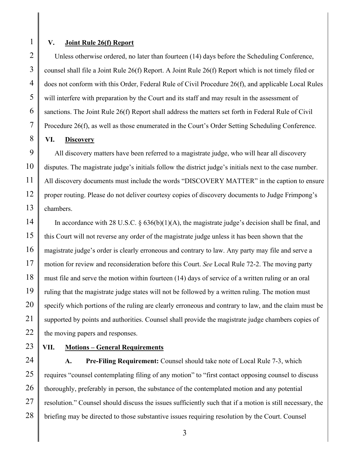1

#### **V. Joint Rule 26(f) Report**

Unless otherwise ordered, no later than fourteen (14) days before the Scheduling Conference, counsel shall file a Joint Rule 26(f) Report. A Joint Rule 26(f) Report which is not timely filed or does not conform with this Order, Federal Rule of Civil Procedure 26(f), and applicable Local Rules will interfere with preparation by the Court and its staff and may result in the assessment of sanctions. The Joint Rule 26(f) Report shall address the matters set forth in Federal Rule of Civil Procedure 26(f), as well as those enumerated in the Court's Order Setting Scheduling Conference.

## **VI. Discovery**

All discovery matters have been referred to a magistrate judge, who will hear all discovery disputes. The magistrate judge's initials follow the district judge's initials next to the case number. All discovery documents must include the words "DISCOVERY MATTER" in the caption to ensure proper routing. Please do not deliver courtesy copies of discovery documents to Judge Frimpong's chambers.

In accordance with 28 U.S.C. § 636(b)(1)(A), the magistrate judge's decision shall be final, and this Court will not reverse any order of the magistrate judge unless it has been shown that the magistrate judge's order is clearly erroneous and contrary to law. Any party may file and serve a motion for review and reconsideration before this Court. *See* Local Rule 72-2. The moving party must file and serve the motion within fourteen (14) days of service of a written ruling or an oral ruling that the magistrate judge states will not be followed by a written ruling. The motion must specify which portions of the ruling are clearly erroneous and contrary to law, and the claim must be supported by points and authorities. Counsel shall provide the magistrate judge chambers copies of the moving papers and responses.

28

## **VII. Motions – General Requirements**

**A. Pre-Filing Requirement:** Counsel should take note of Local Rule 7-3, which requires "counsel contemplating filing of any motion" to "first contact opposing counsel to discuss thoroughly, preferably in person, the substance of the contemplated motion and any potential resolution." Counsel should discuss the issues sufficiently such that if a motion is still necessary, the briefing may be directed to those substantive issues requiring resolution by the Court. Counsel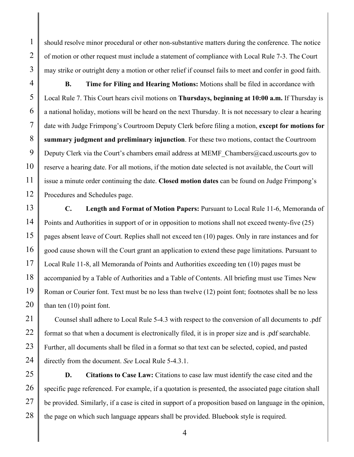should resolve minor procedural or other non-substantive matters during the conference. The notice of motion or other request must include a statement of compliance with Local Rule 7-3. The Court may strike or outright deny a motion or other relief if counsel fails to meet and confer in good faith.

**B. Time for Filing and Hearing Motions:** Motions shall be filed in accordance with Local Rule 7. This Court hears civil motions on **Thursdays, beginning at 10:00 a.m.** If Thursday is a national holiday, motions will be heard on the next Thursday. It is not necessary to clear a hearing date with Judge Frimpong's Courtroom Deputy Clerk before filing a motion, **except for motions for summary judgment and preliminary injunction**. For these two motions, contact the Courtroom Deputy Clerk via the Court's chambers email address at MEMF\_Chambers@cacd.uscourts.gov to reserve a hearing date. For all motions, if the motion date selected is not available, the Court will issue a minute order continuing the date. **Closed motion dates** can be found on Judge Frimpong's Procedures and Schedules page.

**C. Length and Format of Motion Papers:** Pursuant to Local Rule 11-6, Memoranda of Points and Authorities in support of or in opposition to motions shall not exceed twenty-five (25) pages absent leave of Court. Replies shall not exceed ten (10) pages. Only in rare instances and for good cause shown will the Court grant an application to extend these page limitations. Pursuant to Local Rule 11-8, all Memoranda of Points and Authorities exceeding ten (10) pages must be accompanied by a Table of Authorities and a Table of Contents. All briefing must use Times New Roman or Courier font. Text must be no less than twelve (12) point font; footnotes shall be no less than ten (10) point font.

Counsel shall adhere to Local Rule 5-4.3 with respect to the conversion of all documents to .pdf format so that when a document is electronically filed, it is in proper size and is .pdf searchable. Further, all documents shall be filed in a format so that text can be selected, copied, and pasted directly from the document. *See* Local Rule 5-4.3.1.

**D. Citations to Case Law:** Citations to case law must identify the case cited and the specific page referenced. For example, if a quotation is presented, the associated page citation shall be provided. Similarly, if a case is cited in support of a proposition based on language in the opinion, the page on which such language appears shall be provided. Bluebook style is required.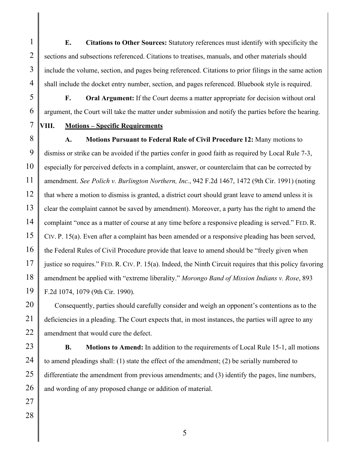**E. Citations to Other Sources:** Statutory references must identify with specificity the sections and subsections referenced. Citations to treatises, manuals, and other materials should include the volume, section, and pages being referenced. Citations to prior filings in the same action shall include the docket entry number, section, and pages referenced. Bluebook style is required.

**F. Oral Argument:** If the Court deems a matter appropriate for decision without oral argument, the Court will take the matter under submission and notify the parties before the hearing.

1

2

3

4

## **VIII. Motions – Specific Requirements**

**A. Motions Pursuant to Federal Rule of Civil Procedure 12:** Many motions to dismiss or strike can be avoided if the parties confer in good faith as required by Local Rule 7-3, especially for perceived defects in a complaint, answer, or counterclaim that can be corrected by amendment. *See Polich v. Burlington Northern, Inc.*, 942 F.2d 1467, 1472 (9th Cir. 1991) (noting that where a motion to dismiss is granted, a district court should grant leave to amend unless it is clear the complaint cannot be saved by amendment). Moreover, a party has the right to amend the complaint "once as a matter of course at any time before a responsive pleading is served." FED. R. CIV. P. 15(a). Even after a complaint has been amended or a responsive pleading has been served, the Federal Rules of Civil Procedure provide that leave to amend should be "freely given when justice so requires." FED. R. CIV. P. 15(a). Indeed, the Ninth Circuit requires that this policy favoring amendment be applied with "extreme liberality." *Morongo Band of Mission Indians v. Rose*, 893 F.2d 1074, 1079 (9th Cir. 1990).

Consequently, parties should carefully consider and weigh an opponent's contentions as to the deficiencies in a pleading. The Court expects that, in most instances, the parties will agree to any amendment that would cure the defect.

**B. Motions to Amend:** In addition to the requirements of Local Rule 15-1, all motions to amend pleadings shall: (1) state the effect of the amendment; (2) be serially numbered to differentiate the amendment from previous amendments; and (3) identify the pages, line numbers, and wording of any proposed change or addition of material.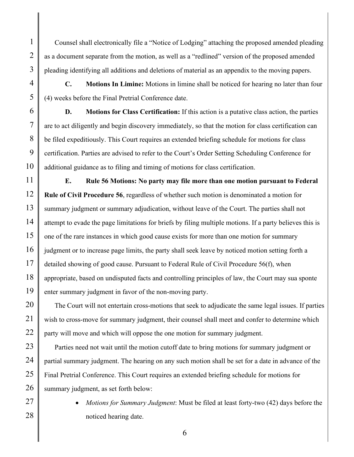Counsel shall electronically file a "Notice of Lodging" attaching the proposed amended pleading as a document separate from the motion, as well as a "redlined" version of the proposed amended pleading identifying all additions and deletions of material as an appendix to the moving papers.

**C. Motions In Limine:** Motions in limine shall be noticed for hearing no later than four (4) weeks before the Final Pretrial Conference date.

**D. Motions for Class Certification:** If this action is a putative class action, the parties are to act diligently and begin discovery immediately, so that the motion for class certification can be filed expeditiously. This Court requires an extended briefing schedule for motions for class certification. Parties are advised to refer to the Court's Order Setting Scheduling Conference for additional guidance as to filing and timing of motions for class certification.

**E. Rule 56 Motions: No party may file more than one motion pursuant to Federal Rule of Civil Procedure 56**, regardless of whether such motion is denominated a motion for summary judgment or summary adjudication, without leave of the Court. The parties shall not attempt to evade the page limitations for briefs by filing multiple motions. If a party believes this is one of the rare instances in which good cause exists for more than one motion for summary judgment or to increase page limits, the party shall seek leave by noticed motion setting forth a detailed showing of good cause. Pursuant to Federal Rule of Civil Procedure 56(f), when appropriate, based on undisputed facts and controlling principles of law, the Court may sua sponte enter summary judgment in favor of the non-moving party.

The Court will not entertain cross-motions that seek to adjudicate the same legal issues. If parties wish to cross-move for summary judgment, their counsel shall meet and confer to determine which party will move and which will oppose the one motion for summary judgment.

Parties need not wait until the motion cutoff date to bring motions for summary judgment or partial summary judgment. The hearing on any such motion shall be set for a date in advance of the Final Pretrial Conference. This Court requires an extended briefing schedule for motions for summary judgment, as set forth below:

• *Motions for Summary Judgment*: Must be filed at least forty-two (42) days before the noticed hearing date.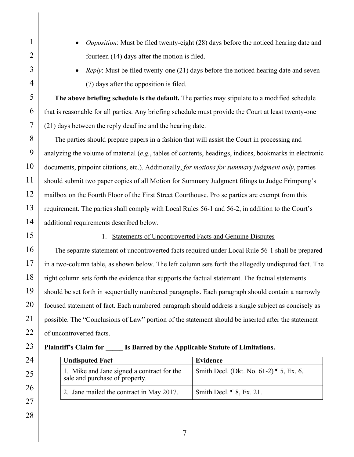28

- *Opposition*: Must be filed twenty-eight (28) days before the noticed hearing date and fourteen (14) days after the motion is filed.
- *Reply*: Must be filed twenty-one (21) days before the noticed hearing date and seven (7) days after the opposition is filed.

**The above briefing schedule is the default.** The parties may stipulate to a modified schedule that is reasonable for all parties. Any briefing schedule must provide the Court at least twenty-one (21) days between the reply deadline and the hearing date.

The parties should prepare papers in a fashion that will assist the Court in processing and analyzing the volume of material (*e.g.*, tables of contents, headings, indices, bookmarks in electronic documents, pinpoint citations, etc.). Additionally, *for motions for summary judgment only*, parties should submit two paper copies of all Motion for Summary Judgment filings to Judge Frimpong's mailbox on the Fourth Floor of the First Street Courthouse. Pro se parties are exempt from this requirement. The parties shall comply with Local Rules 56-1 and 56-2, in addition to the Court's additional requirements described below.

# 1. Statements of Uncontroverted Facts and Genuine Disputes

The separate statement of uncontroverted facts required under Local Rule 56-1 shall be prepared in a two-column table, as shown below. The left column sets forth the allegedly undisputed fact. The right column sets forth the evidence that supports the factual statement. The factual statements should be set forth in sequentially numbered paragraphs. Each paragraph should contain a narrowly focused statement of fact. Each numbered paragraph should address a single subject as concisely as possible. The "Conclusions of Law" portion of the statement should be inserted after the statement of uncontroverted facts.

**Plaintiff's Claim for \_\_\_\_\_ Is Barred by the Applicable Statute of Limitations.** 

**Undisputed Fact Evidence** 1. Mike and Jane signed a contract for the sale and purchase of property. Smith Decl. (Dkt. No. 61-2) ¶ 5, Ex. 6. 2. Jane mailed the contract in May 2017.  $\vert$  Smith Decl.  $\vert \vert$  8, Ex. 21.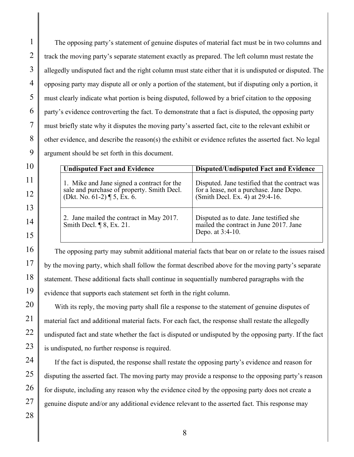The opposing party's statement of genuine disputes of material fact must be in two columns and track the moving party's separate statement exactly as prepared. The left column must restate the allegedly undisputed fact and the right column must state either that it is undisputed or disputed. The opposing party may dispute all or only a portion of the statement, but if disputing only a portion, it must clearly indicate what portion is being disputed, followed by a brief citation to the opposing party's evidence controverting the fact. To demonstrate that a fact is disputed, the opposing party must briefly state why it disputes the moving party's asserted fact, cite to the relevant exhibit or other evidence, and describe the reason(s) the exhibit or evidence refutes the asserted fact. No legal argument should be set forth in this document.

| <b>Undisputed Fact and Evidence</b>                                                                                        | <b>Disputed/Undisputed Fact and Evidence</b>                                                                                 |
|----------------------------------------------------------------------------------------------------------------------------|------------------------------------------------------------------------------------------------------------------------------|
| 1. Mike and Jane signed a contract for the<br>sale and purchase of property. Smith Decl.<br>(Dkt. No. 61-2) $\P$ 5, Ex. 6. | Disputed. Jane testified that the contract was<br>for a lease, not a purchase. Jane Depo.<br>(Smith Decl. Ex. 4) at 29:4-16. |
| 2. Jane mailed the contract in May 2017.<br>Smith Decl. $\P$ 8, Ex. 21.                                                    | Disputed as to date. Jane testified she<br>mailed the contract in June 2017. Jane<br>Depo. at 3:4-10.                        |

The opposing party may submit additional material facts that bear on or relate to the issues raised by the moving party, which shall follow the format described above for the moving party's separate statement. These additional facts shall continue in sequentially numbered paragraphs with the evidence that supports each statement set forth in the right column.

With its reply, the moving party shall file a response to the statement of genuine disputes of material fact and additional material facts. For each fact, the response shall restate the allegedly undisputed fact and state whether the fact is disputed or undisputed by the opposing party. If the fact is undisputed, no further response is required.

If the fact is disputed, the response shall restate the opposing party's evidence and reason for disputing the asserted fact. The moving party may provide a response to the opposing party's reason for dispute, including any reason why the evidence cited by the opposing party does not create a genuine dispute and/or any additional evidence relevant to the asserted fact. This response may

1

2

3

4

5

6

7

8

9

10

11

12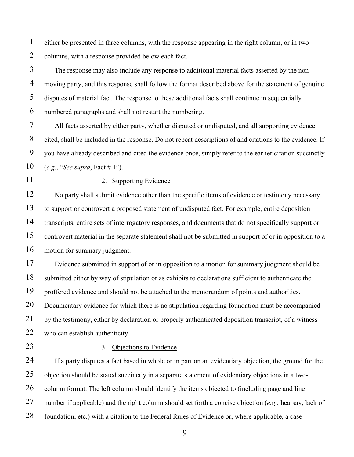either be presented in three columns, with the response appearing in the right column, or in two columns, with a response provided below each fact.

The response may also include any response to additional material facts asserted by the nonmoving party, and this response shall follow the format described above for the statement of genuine disputes of material fact. The response to these additional facts shall continue in sequentially numbered paragraphs and shall not restart the numbering.

All facts asserted by either party, whether disputed or undisputed, and all supporting evidence cited, shall be included in the response. Do not repeat descriptions of and citations to the evidence. If you have already described and cited the evidence once, simply refer to the earlier citation succinctly (*e.g.*, "*See supra*, Fact # 1").

#### 2. Supporting Evidence

No party shall submit evidence other than the specific items of evidence or testimony necessary to support or controvert a proposed statement of undisputed fact. For example, entire deposition transcripts, entire sets of interrogatory responses, and documents that do not specifically support or controvert material in the separate statement shall not be submitted in support of or in opposition to a motion for summary judgment.

Evidence submitted in support of or in opposition to a motion for summary judgment should be submitted either by way of stipulation or as exhibits to declarations sufficient to authenticate the proffered evidence and should not be attached to the memorandum of points and authorities. Documentary evidence for which there is no stipulation regarding foundation must be accompanied by the testimony, either by declaration or properly authenticated deposition transcript, of a witness who can establish authenticity.

### 3. Objections to Evidence

If a party disputes a fact based in whole or in part on an evidentiary objection, the ground for the objection should be stated succinctly in a separate statement of evidentiary objections in a twocolumn format. The left column should identify the items objected to (including page and line number if applicable) and the right column should set forth a concise objection (*e.g.*, hearsay, lack of foundation, etc.) with a citation to the Federal Rules of Evidence or, where applicable, a case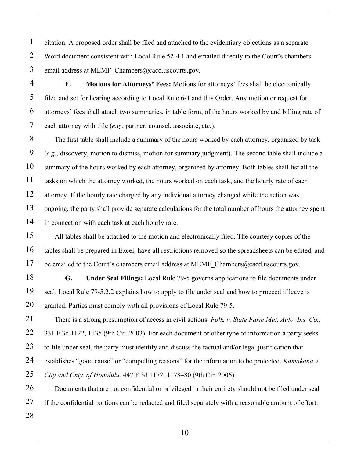citation. A proposed order shall be filed and attached to the evidentiary objections as a separate Word document consistent with Local Rule 52-4.1 and emailed directly to the Court's chambers email address at MEMF\_Chambers@cacd.uscourts.gov.

**F. Motions for Attorneys' Fees:** Motions for attorneys' fees shall be electronically filed and set for hearing according to Local Rule 6-1 and this Order. Any motion or request for attorneys' fees shall attach two summaries, in table form, of the hours worked by and billing rate of each attorney with title (*e.g.*, partner, counsel, associate, etc.).

The first table shall include a summary of the hours worked by each attorney, organized by task (*e.g.*, discovery, motion to dismiss, motion for summary judgment). The second table shall include a summary of the hours worked by each attorney, organized by attorney. Both tables shall list all the tasks on which the attorney worked, the hours worked on each task, and the hourly rate of each attorney. If the hourly rate charged by any individual attorney changed while the action was ongoing, the party shall provide separate calculations for the total number of hours the attorney spent in connection with each task at each hourly rate.

All tables shall be attached to the motion and electronically filed. The courtesy copies of the tables shall be prepared in Excel, have all restrictions removed so the spreadsheets can be edited, and be emailed to the Court's chambers email address at MEMF Chambers@cacd.uscourts.gov.

**G. Under Seal Filings:** Local Rule 79-5 governs applications to file documents under seal. Local Rule 79-5.2.2 explains how to apply to file under seal and how to proceed if leave is granted. Parties must comply with all provisions of Local Rule 79-5.

There is a strong presumption of access in civil actions. *Foltz v. State Farm Mut. Auto. Ins. Co.*, 331 F.3d 1122, 1135 (9th Cir. 2003). For each document or other type of information a party seeks to file under seal, the party must identify and discuss the factual and/or legal justification that establishes "good cause" or "compelling reasons" for the information to be protected. *Kamakana v. City and Cnty. of Honolulu*, 447 F.3d 1172, 1178–80 (9th Cir. 2006).

Documents that are not confidential or privileged in their entirety should not be filed under seal if the confidential portions can be redacted and filed separately with a reasonable amount of effort.

1

2

3

4

5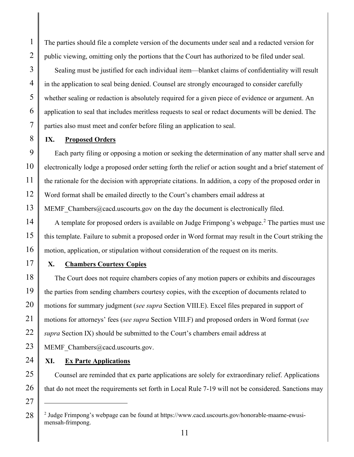The parties should file a complete version of the documents under seal and a redacted version for public viewing, omitting only the portions that the Court has authorized to be filed under seal.

Sealing must be justified for each individual item—blanket claims of confidentiality will result in the application to seal being denied. Counsel are strongly encouraged to consider carefully whether sealing or redaction is absolutely required for a given piece of evidence or argument. An application to seal that includes meritless requests to seal or redact documents will be denied. The parties also must meet and confer before filing an application to seal.

# **IX. Proposed Orders**

Each party filing or opposing a motion or seeking the determination of any matter shall serve and electronically lodge a proposed order setting forth the relief or action sought and a brief statement of the rationale for the decision with appropriate citations. In addition, a copy of the proposed order in Word format shall be emailed directly to the Court's chambers email address at MEMF Chambers@cacd.uscourts.gov on the day the document is electronically filed.

A template for proposed orders is available on Judge Frimpong's webpage.<sup>[2](#page-10-0)</sup> The parties must use this template. Failure to submit a proposed order in Word format may result in the Court striking the motion, application, or stipulation without consideration of the request on its merits.

# **X. Chambers Courtesy Copies**

The Court does not require chambers copies of any motion papers or exhibits and discourages the parties from sending chambers courtesy copies, with the exception of documents related to motions for summary judgment (*see supra* Section VIII.E). Excel files prepared in support of motions for attorneys' fees (*see supra* Section VIII.F) and proposed orders in Word format (*see supra* Section IX) should be submitted to the Court's chambers email address at

MEMF Chambers@cacd.uscourts.gov.

# **XI. Ex Parte Applications**

Counsel are reminded that ex parte applications are solely for extraordinary relief. Applications that do not meet the requirements set forth in Local Rule 7-19 will not be considered. Sanctions may

<span id="page-10-0"></span><sup>2</sup> Judge Frimpong's webpage can be found at https://www.cacd.uscourts.gov/honorable-maame-ewusimensah-frimpong.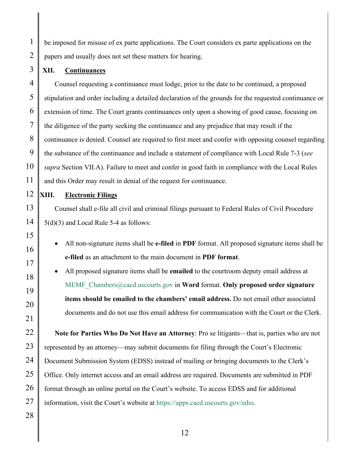be imposed for misuse of ex parte applications. The Court considers ex parte applications on the papers and usually does not set these matters for hearing.

## **XII. Continuances**

1

2

3

4

5

6

7

8

9

10

11

Counsel requesting a continuance must lodge, prior to the date to be continued, a proposed stipulation and order including a detailed declaration of the grounds for the requested continuance or extension of time. The Court grants continuances only upon a showing of good cause, focusing on the diligence of the party seeking the continuance and any prejudice that may result if the continuance is denied. Counsel are required to first meet and confer with opposing counsel regarding the substance of the continuance and include a statement of compliance with Local Rule 7-3 (*see supra* Section VII.A). Failure to meet and confer in good faith in compliance with the Local Rules and this Order may result in denial of the request for continuance.

## **XIII. Electronic Filings**

Counsel shall e-file all civil and criminal filings pursuant to Federal Rules of Civil Procedure 5(d)(3) and Local Rule 5-4 as follows:

• All non-signature items shall be **e-filed** in **PDF** format. All proposed signature items shall be **e-filed** as an attachment to the main document in **PDF format**.

• All proposed signature items shall be **emailed** to the courtroom deputy email address at [MEMF\\_Chambers@cacd.uscourts.gov](mailto:MEMF_Chambers@cacd.uscourts.gov) in **Word** format. **Only proposed order signature items should be emailed to the chambers' email address.** Do not email other associated documents and do not use this email address for communication with the Court or the Clerk.

**Note for Parties Who Do Not Have an Attorney**: Pro se litigants—that is, parties who are not represented by an attorney—may submit documents for filing through the Court's Electronic Document Submission System (EDSS) instead of mailing or bringing documents to the Clerk's Office. Only internet access and an email address are required. Documents are submitted in PDF format through an online portal on the Court's website. To access EDSS and for additional information, visit the Court's website at [https://apps.cacd.uscourts.gov/edss.](https://apps.cacd.uscourts.gov/edss)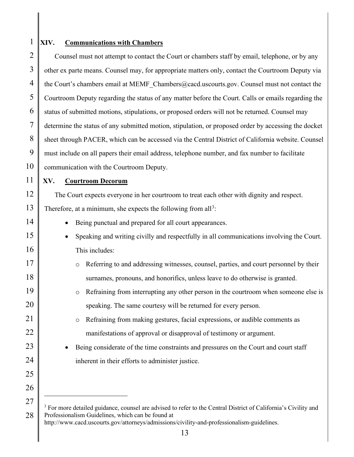## **XIV. Communications with Chambers**

1

2

3

4

5

6

7

8

9

10

11

12

13

14

15

16

17

18

19

20

21

22

23

24

25

26

27

Counsel must not attempt to contact the Court or chambers staff by email, telephone, or by any other ex parte means. Counsel may, for appropriate matters only, contact the Courtroom Deputy via the Court's chambers email at MEMF\_Chambers@cacd.uscourts.gov. Counsel must not contact the Courtroom Deputy regarding the status of any matter before the Court. Calls or emails regarding the status of submitted motions, stipulations, or proposed orders will not be returned. Counsel may determine the status of any submitted motion, stipulation, or proposed order by accessing the docket sheet through PACER, which can be accessed via the Central District of California website. Counsel must include on all papers their email address, telephone number, and fax number to facilitate communication with the Courtroom Deputy.

**XV. Courtroom Decorum**

The Court expects everyone in her courtroom to treat each other with dignity and respect. Therefore, at a minimum, she expects the following from all<sup>[3](#page-12-0)</sup>:

- Being punctual and prepared for all court appearances.
- Speaking and writing civilly and respectfully in all communications involving the Court. This includes:
- o Referring to and addressing witnesses, counsel, parties, and court personnel by their surnames, pronouns, and honorifics, unless leave to do otherwise is granted.
	- o Refraining from interrupting any other person in the courtroom when someone else is speaking. The same courtesy will be returned for every person.
		- o Refraining from making gestures, facial expressions, or audible comments as manifestations of approval or disapproval of testimony or argument.
- Being considerate of the time constraints and pressures on the Court and court staff inherent in their efforts to administer justice.

<span id="page-12-0"></span><sup>28</sup> <sup>3</sup> For more detailed guidance, counsel are advised to refer to the Central District of California's Civility and Professionalism Guidelines, which can be found at http://www.cacd.uscourts.gov/attorneys/admissions/civility-and-professionalism-guidelines.